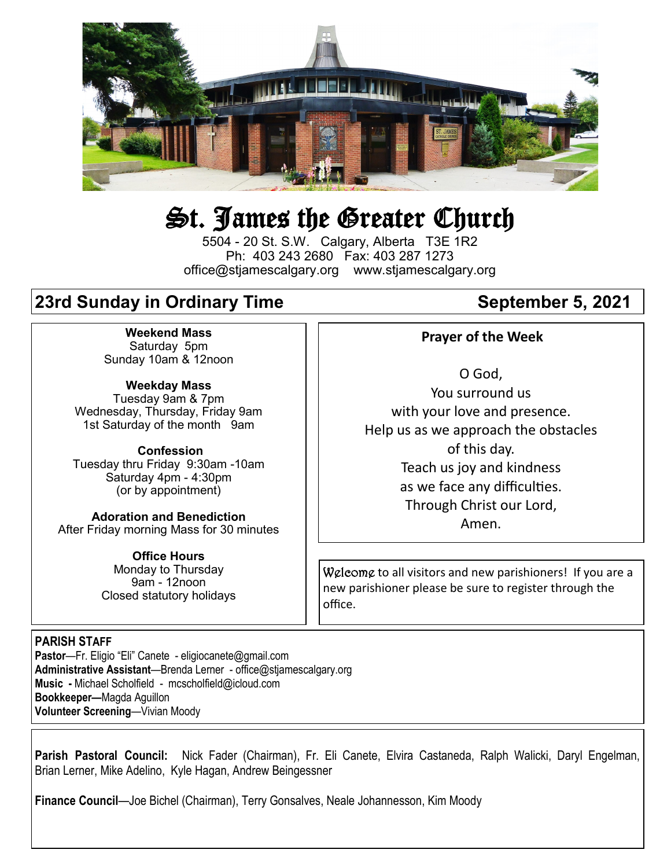

# St. James the Greater Church

5504 - 20 St. S.W. Calgary, Alberta T3E 1R2 Ph: 403 243 2680 Fax: 403 287 1273 office@stjamescalgary.org www.stjamescalgary.org

# **23rd Sunday in Ordinary Time**  September 5, 2021

**Weekend Mass** Saturday 5pm Sunday 10am & 12noon

**Weekday Mass** Tuesday 9am & 7pm Wednesday, Thursday, Friday 9am 1st Saturday of the month 9am

**Confession** Tuesday thru Friday 9:30am -10am Saturday 4pm - 4:30pm (or by appointment)

**Adoration and Benediction**  After Friday morning Mass for 30 minutes

> **Office Hours**  Monday to Thursday 9am - 12noon Closed statutory holidays

#### **Prayer of the Week**

O God, You surround us with your love and presence. Help us as we approach the obstacles of this day. Teach us joy and kindness as we face any difficulties. Through Christ our Lord, Amen.

Welcome to all visitors and new parishioners! If you are a new parishioner please be sure to register through the office.

#### **PARISH STAFF**

**Pastor**—Fr. Eligio "Eli" Canete - eligiocanete@gmail.com **Administrative Assistant**—Brenda Lerner - office@stjamescalgary.org **Music -** Michael Scholfield - mcscholfield@icloud.com **Bookkeeper—**Magda Aguillon **Volunteer Screening**—Vivian Moody

**Parish Pastoral Council:** Nick Fader (Chairman), Fr. Eli Canete, Elvira Castaneda, Ralph Walicki, Daryl Engelman, Brian Lerner, Mike Adelino, Kyle Hagan, Andrew Beingessner

**Finance Council**—Joe Bichel (Chairman), Terry Gonsalves, Neale Johannesson, Kim Moody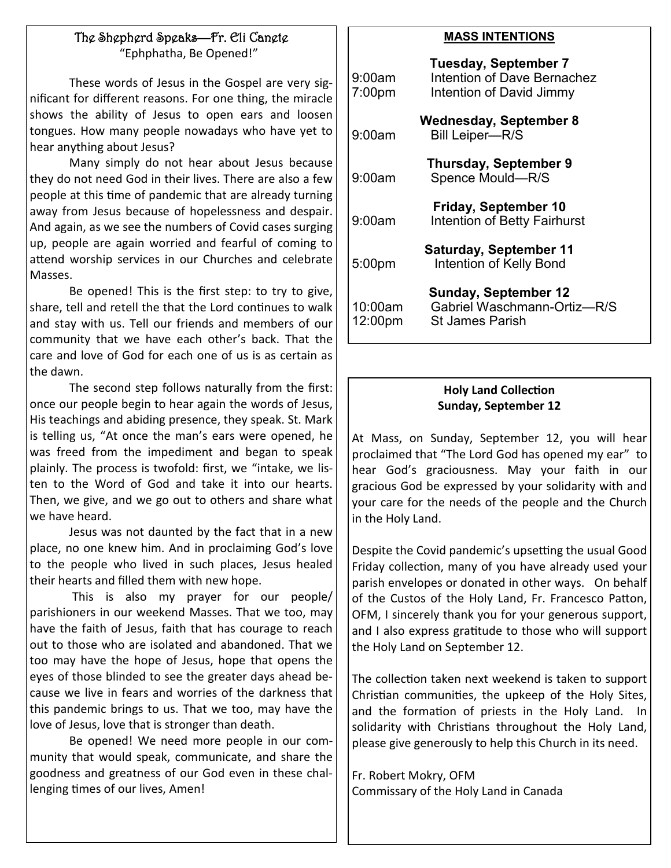### The Shepherd Speaks—Fr. Eli Canete

"Ephphatha, Be Opened!"

These words of Jesus in the Gospel are very significant for different reasons. For one thing, the miracle shows the ability of Jesus to open ears and loosen tongues. How many people nowadays who have yet to hear anything about Jesus?

Many simply do not hear about Jesus because they do not need God in their lives. There are also a few people at this time of pandemic that are already turning away from Jesus because of hopelessness and despair. And again, as we see the numbers of Covid cases surging up, people are again worried and fearful of coming to attend worship services in our Churches and celebrate Masses.

Be opened! This is the first step: to try to give, share, tell and retell the that the Lord continues to walk and stay with us. Tell our friends and members of our community that we have each other's back. That the care and love of God for each one of us is as certain as the dawn.

The second step follows naturally from the first: once our people begin to hear again the words of Jesus, His teachings and abiding presence, they speak. St. Mark is telling us, "At once the man's ears were opened, he was freed from the impediment and began to speak plainly. The process is twofold: first, we "intake, we listen to the Word of God and take it into our hearts. Then, we give, and we go out to others and share what we have heard.

Jesus was not daunted by the fact that in a new place, no one knew him. And in proclaiming God's love to the people who lived in such places, Jesus healed their hearts and filled them with new hope.

This is also my prayer for our people/ parishioners in our weekend Masses. That we too, may have the faith of Jesus, faith that has courage to reach out to those who are isolated and abandoned. That we too may have the hope of Jesus, hope that opens the eyes of those blinded to see the greater days ahead because we live in fears and worries of the darkness that this pandemic brings to us. That we too, may have the love of Jesus, love that is stronger than death.

Be opened! We need more people in our community that would speak, communicate, and share the goodness and greatness of our God even in these challenging times of our lives, Amen!

#### **MASS INTENTIONS**

| 9:00am<br>7:00 <sub>pm</sub> | <b>Tuesday, September 7</b><br>Intention of Dave Bernachez<br>Intention of David Jimmy |
|------------------------------|----------------------------------------------------------------------------------------|
| 9:00am                       | Wednesday, September 8<br><b>Bill Leiper-R/S</b>                                       |
| 9:00am                       | <b>Thursday, September 9</b><br>Spence Mould-R/S                                       |
| 9:00am                       | <b>Friday, September 10</b><br><b>Intention of Betty Fairhurst</b>                     |
| 5:00pm                       | <b>Saturday, September 11</b><br>Intention of Kelly Bond                               |
| 10:00am<br>12:00pm           | <b>Sunday, September 12</b><br>Gabriel Waschmann-Ortiz-R/S<br><b>St James Parish</b>   |

#### **Holy Land Collection Sunday, September 12**

At Mass, on Sunday, September 12, you will hear proclaimed that "The Lord God has opened my ear" to hear God's graciousness. May your faith in our gracious God be expressed by your solidarity with and your care for the needs of the people and the Church in the Holy Land.

Despite the Covid pandemic's upsetting the usual Good Friday collection, many of you have already used your parish envelopes or donated in other ways. On behalf of the Custos of the Holy Land, Fr. Francesco Patton, OFM, I sincerely thank you for your generous support, and I also express gratitude to those who will support the Holy Land on September 12.

The collection taken next weekend is taken to support Christian communities, the upkeep of the Holy Sites, and the formation of priests in the Holy Land. In solidarity with Christians throughout the Holy Land, please give generously to help this Church in its need.

Fr. Robert Mokry, OFM Commissary of the Holy Land in Canada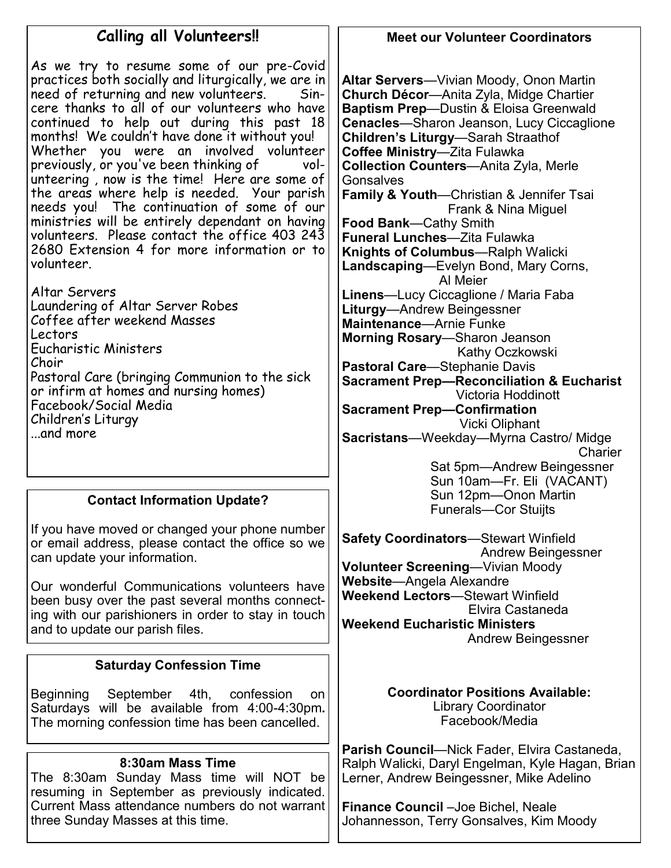# **Calling all Volunteers!!**

As we try to resume some of our pre-Covid practices both socially and liturgically, we are in need of returning and new volunteers. Sincere thanks to all of our volunteers who have continued to help out during this past 18 months! We couldn't have done it without you! Whether you were an involved volunteer previously, or you've been thinking of unteering , now is the time! Here are some of the areas where help is needed. Your parish needs you! The continuation of some of our ministries will be entirely dependant on having volunteers. Please contact the office 403 243 2680 Extension 4 for more information or to volunteer.

Altar Servers Laundering of Altar Server Robes Coffee after weekend Masses Lectors Eucharistic Ministers Choir Pastoral Care (bringing Communion to the sick or infirm at homes and nursing homes) Facebook/Social Media Children's Liturgy ...and more

#### **Contact Information Update?**

If you have moved or changed your phone number or email address, please contact the office so we can update your information.

Our wonderful Communications volunteers have been busy over the past several months connecting with our parishioners in order to stay in touch and to update our parish files.

#### **Saturday Confession Time**

Beginning September 4th, confession on Saturdays will be available from 4:00-4:30pm**.**  The morning confession time has been cancelled.

#### **8:30am Mass Time**

The 8:30am Sunday Mass time will NOT be resuming in September as previously indicated. Current Mass attendance numbers do not warrant three Sunday Masses at this time.

#### **Meet our Volunteer Coordinators**

**Altar Servers**—Vivian Moody, Onon Martin **Church Décor**—Anita Zyla, Midge Chartier **Baptism Prep**—Dustin & Eloisa Greenwald **Cenacles**—Sharon Jeanson, Lucy Ciccaglione **Children's Liturgy**—Sarah Straathof **Coffee Ministry**—Zita Fulawka **Collection Counters**—Anita Zyla, Merle **Gonsalves Family & Youth**—Christian & Jennifer Tsai Frank & Nina Miguel **Food Bank**—Cathy Smith **Funeral Lunches**—Zita Fulawka **Knights of Columbus**—Ralph Walicki **Landscaping**—Evelyn Bond, Mary Corns, Al Meier **Linens**—Lucy Ciccaglione / Maria Faba **Liturgy**—Andrew Beingessner **Maintenance**—Arnie Funke **Morning Rosary**—Sharon Jeanson Kathy Oczkowski **Pastoral Care**—Stephanie Davis **Sacrament Prep—Reconciliation & Eucharist** Victoria Hoddinott **Sacrament Prep—Confirmation** Vicki Oliphant **Sacristans**—Weekday—Myrna Castro/ Midge **Charier**  Sat 5pm—Andrew Beingessner Sun 10am—Fr. Eli (VACANT) Sun 12pm—Onon Martin Funerals—Cor Stuijts **Safety Coordinators**—Stewart Winfield

 Andrew Beingessner **Volunteer Screening**—Vivian Moody **Website**—Angela Alexandre **Weekend Lectors**—Stewart Winfield Elvira Castaneda **Weekend Eucharistic Ministers** Andrew Beingessner

> **Coordinator Positions Available:** Library Coordinator Facebook/Media

**Parish Council**—Nick Fader, Elvira Castaneda, Ralph Walicki, Daryl Engelman, Kyle Hagan, Brian Lerner, Andrew Beingessner, Mike Adelino

**Finance Council** –Joe Bichel, Neale Johannesson, Terry Gonsalves, Kim Moody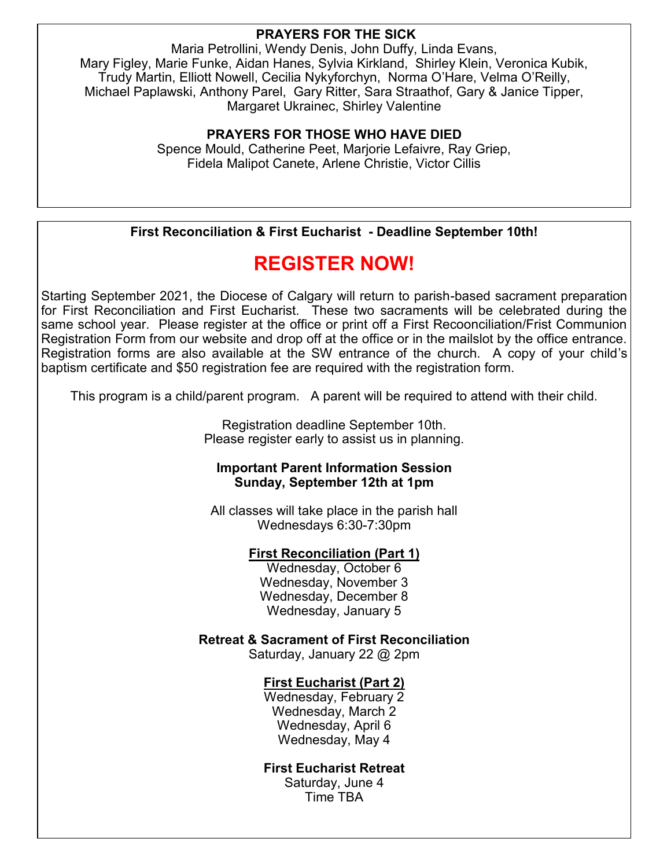#### **PRAYERS FOR THE SICK**

Maria Petrollini, Wendy Denis, John Duffy, Linda Evans, Mary Figley, Marie Funke, Aidan Hanes, Sylvia Kirkland, Shirley Klein, Veronica Kubik, Trudy Martin, Elliott Nowell, Cecilia Nykyforchyn, Norma O'Hare, Velma O'Reilly, Michael Paplawski, Anthony Parel, Gary Ritter, Sara Straathof, Gary & Janice Tipper, Margaret Ukrainec, Shirley Valentine

#### **PRAYERS FOR THOSE WHO HAVE DIED**

Spence Mould, Catherine Peet, Marjorie Lefaivre, Ray Griep, Fidela Malipot Canete, Arlene Christie, Victor Cillis

#### **First Reconciliation & First Eucharist - Deadline September 10th!**

# **REGISTER NOW!**

Starting September 2021, the Diocese of Calgary will return to parish-based sacrament preparation for First Reconciliation and First Eucharist. These two sacraments will be celebrated during the same school year. Please register at the office or print off a First Recoonciliation/Frist Communion Registration Form from our website and drop off at the office or in the mailslot by the office entrance. Registration forms are also available at the SW entrance of the church. A copy of your child's baptism certificate and \$50 registration fee are required with the registration form.

This program is a child/parent program. A parent will be required to attend with their child.

Registration deadline September 10th. Please register early to assist us in planning.

#### **Important Parent Information Session Sunday, September 12th at 1pm**

All classes will take place in the parish hall Wednesdays 6:30-7:30pm

#### **First Reconciliation (Part 1)**

Wednesday, October 6 Wednesday, November 3 Wednesday, December 8 Wednesday, January 5

**Retreat & Sacrament of First Reconciliation** 

Saturday, January 22 @ 2pm

#### **First Eucharist (Part 2)**

Wednesday, February 2 Wednesday, March 2 Wednesday, April 6 Wednesday, May 4

#### **First Eucharist Retreat**

Saturday, June 4 Time TBA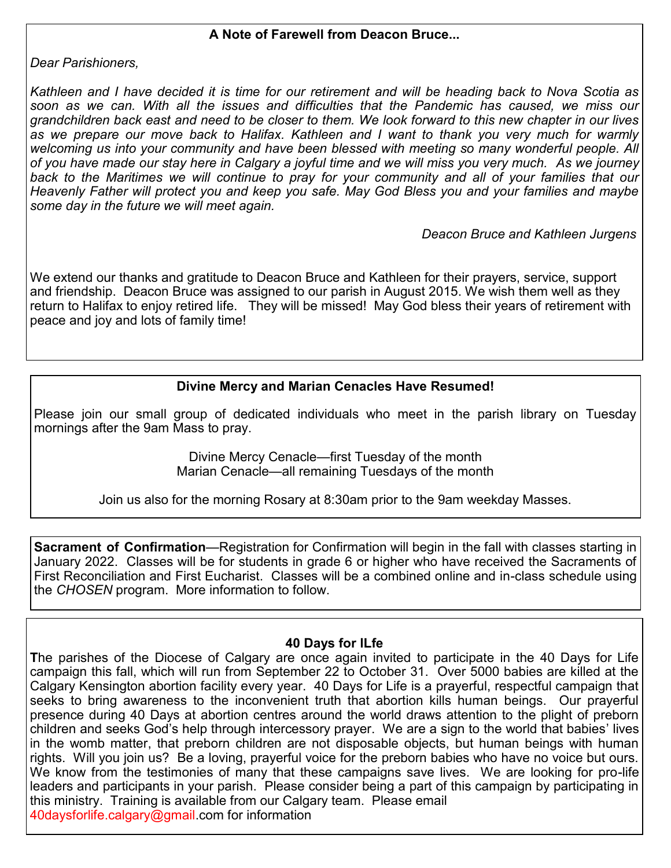#### **A Note of Farewell from Deacon Bruce...**

*Dear Parishioners,* 

*Kathleen and I have decided it is time for our retirement and will be heading back to Nova Scotia as soon as we can. With all the issues and difficulties that the Pandemic has caused, we miss our grandchildren back east and need to be closer to them. We look forward to this new chapter in our lives as we prepare our move back to Halifax. Kathleen and I want to thank you very much for warmly welcoming us into your community and have been blessed with meeting so many wonderful people. All of you have made our stay here in Calgary a joyful time and we will miss you very much. As we journey*  back to the Maritimes we will continue to pray for your community and all of your families that our *Heavenly Father will protect you and keep you safe. May God Bless you and your families and maybe some day in the future we will meet again.*

 *Deacon Bruce and Kathleen Jurgens*

We extend our thanks and gratitude to Deacon Bruce and Kathleen for their prayers, service, support and friendship. Deacon Bruce was assigned to our parish in August 2015. We wish them well as they return to Halifax to enjoy retired life. They will be missed! May God bless their years of retirement with peace and joy and lots of family time!

#### **Divine Mercy and Marian Cenacles Have Resumed!**

Please join our small group of dedicated individuals who meet in the parish library on Tuesday mornings after the 9am Mass to pray.

> Divine Mercy Cenacle—first Tuesday of the month Marian Cenacle—all remaining Tuesdays of the month

Join us also for the morning Rosary at 8:30am prior to the 9am weekday Masses.

**Sacrament of Confirmation**—Registration for Confirmation will begin in the fall with classes starting in January 2022. Classes will be for students in grade 6 or higher who have received the Sacraments of First Reconciliation and First Eucharist. Classes will be a combined online and in-class schedule using the *CHOSEN* program. More information to follow.

#### **40 Days for lLfe**

**T**he parishes of the Diocese of Calgary are once again invited to participate in the 40 Days for Life campaign this fall, which will run from September 22 to October 31. Over 5000 babies are killed at the Calgary Kensington abortion facility every year. 40 Days for Life is a prayerful, respectful campaign that seeks to bring awareness to the inconvenient truth that abortion kills human beings. Our prayerful presence during 40 Days at abortion centres around the world draws attention to the plight of preborn children and seeks God's help through intercessory prayer. We are a sign to the world that babies' lives in the womb matter, that preborn children are not disposable objects, but human beings with human rights. Will you join us? Be a loving, prayerful voice for the preborn babies who have no voice but ours. We know from the testimonies of many that these campaigns save lives. We are looking for pro-life leaders and participants in your parish. Please consider being a part of this campaign by participating in this ministry. Training is available from our Calgary team. Please email 40daysforlife.calgary@gmail.com for information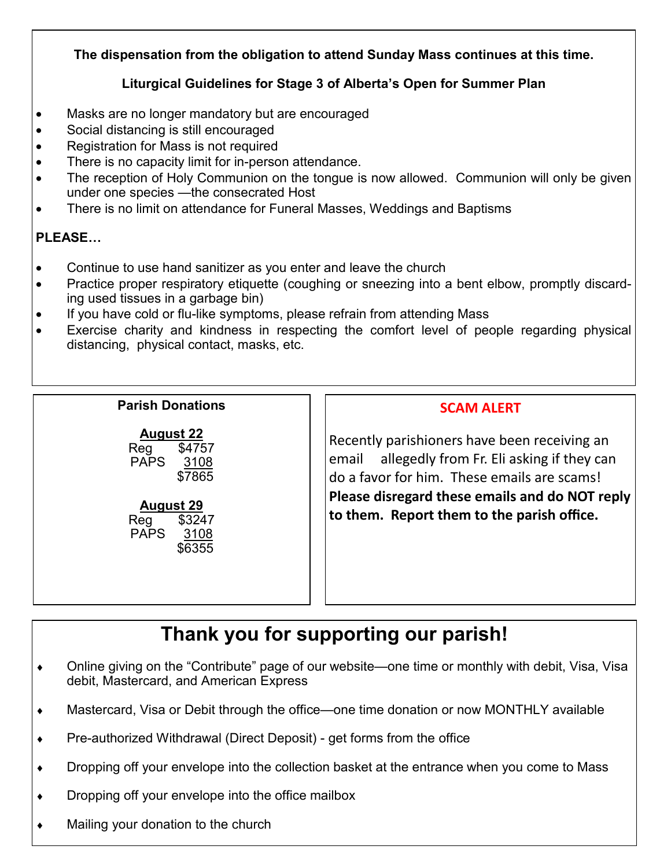#### **The dispensation from the obligation to attend Sunday Mass continues at this time.**

#### **Liturgical Guidelines for Stage 3 of Alberta's Open for Summer Plan**

- Masks are no longer mandatory but are encouraged
- Social distancing is still encouraged
- Registration for Mass is not required
- There is no capacity limit for in-person attendance.
- The reception of Holy Communion on the tongue is now allowed. Communion will only be given under one species —the consecrated Host
- There is no limit on attendance for Funeral Masses, Weddings and Baptisms

#### **PLEASE…**

- Continue to use hand sanitizer as you enter and leave the church
- Practice proper respiratory etiquette (coughing or sneezing into a bent elbow, promptly discarding used tissues in a garbage bin)
- If you have cold or flu-like symptoms, please refrain from attending Mass
- Exercise charity and kindness in respecting the comfort level of people regarding physical distancing, physical contact, masks, etc.

#### **Parish Donations**

| <b>August 22</b> |         |
|------------------|---------|
|                  | $1 - 1$ |

Reg \$4757 PAPS 3108 \$7865

#### **August 29**

Reg \$3247 PAPS 3108 \$6355

#### **SCAM ALERT**

Recently parishioners have been receiving an email allegedly from Fr. Eli asking if they can do a favor for him. These emails are scams! **Please disregard these emails and do NOT reply to them. Report them to the parish office.**

# **Thank you for supporting our parish!**

- Online giving on the "Contribute" page of our website—one time or monthly with debit, Visa, Visa debit, Mastercard, and American Express
- Mastercard, Visa or Debit through the office—one time donation or now MONTHLY available
- ◆ Pre-authorized Withdrawal (Direct Deposit) get forms from the office
- Dropping off your envelope into the collection basket at the entrance when you come to Mass
- Dropping off your envelope into the office mailbox
- Mailing your donation to the church